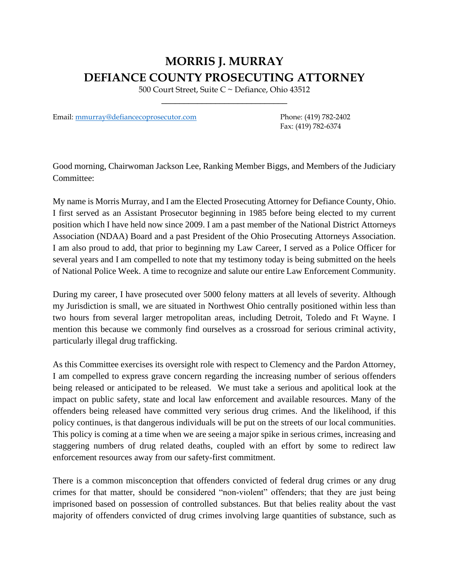## **MORRIS J. MURRAY DEFIANCE COUNTY PROSECUTING ATTORNEY**

500 Court Street, Suite C ~ Defiance, Ohio 43512 \_\_\_\_\_\_\_\_\_\_\_\_\_\_\_\_\_\_\_\_\_\_\_\_\_\_\_\_

Email: [mmurray@defiancecoprosecutor.com](mailto:mmurray@defiancecoprosecutor.com) Phone: (419) 782-2402

Fax: (419) 782-6374

Good morning, Chairwoman Jackson Lee, Ranking Member Biggs, and Members of the Judiciary Committee:

My name is Morris Murray, and I am the Elected Prosecuting Attorney for Defiance County, Ohio. I first served as an Assistant Prosecutor beginning in 1985 before being elected to my current position which I have held now since 2009. I am a past member of the National District Attorneys Association (NDAA) Board and a past President of the Ohio Prosecuting Attorneys Association. I am also proud to add, that prior to beginning my Law Career, I served as a Police Officer for several years and I am compelled to note that my testimony today is being submitted on the heels of National Police Week. A time to recognize and salute our entire Law Enforcement Community.

During my career, I have prosecuted over 5000 felony matters at all levels of severity. Although my Jurisdiction is small, we are situated in Northwest Ohio centrally positioned within less than two hours from several larger metropolitan areas, including Detroit, Toledo and Ft Wayne. I mention this because we commonly find ourselves as a crossroad for serious criminal activity, particularly illegal drug trafficking.

As this Committee exercises its oversight role with respect to Clemency and the Pardon Attorney, I am compelled to express grave concern regarding the increasing number of serious offenders being released or anticipated to be released. We must take a serious and apolitical look at the impact on public safety, state and local law enforcement and available resources. Many of the offenders being released have committed very serious drug crimes. And the likelihood, if this policy continues, is that dangerous individuals will be put on the streets of our local communities. This policy is coming at a time when we are seeing a major spike in serious crimes, increasing and staggering numbers of drug related deaths, coupled with an effort by some to redirect law enforcement resources away from our safety-first commitment.

There is a common misconception that offenders convicted of federal drug crimes or any drug crimes for that matter, should be considered "non-violent" offenders; that they are just being imprisoned based on possession of controlled substances. But that belies reality about the vast majority of offenders convicted of drug crimes involving large quantities of substance, such as